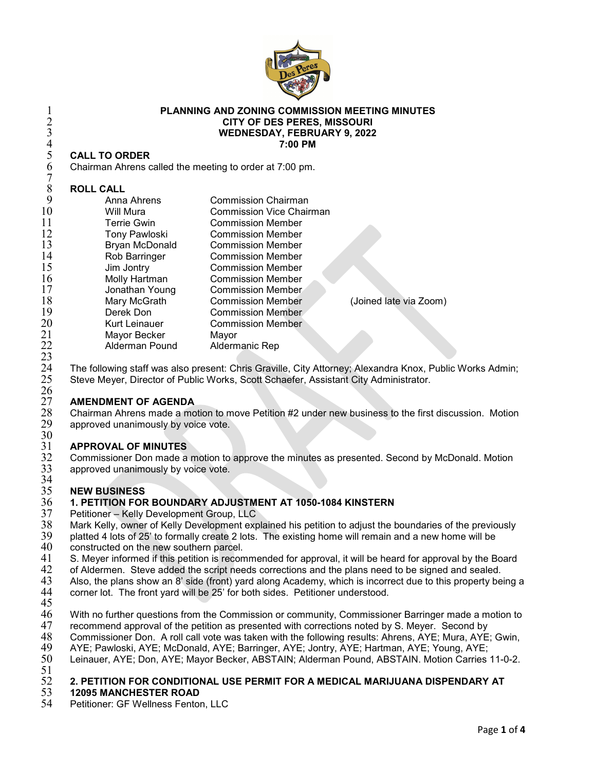

## **PLANNING AND ZONING COMMISSION MEETING MINUTES CITY OF DES PERES, MISSOURI WEDNESDAY, FEBRUARY 9, 2022 7:00 PM**

## **CALL TO ORDER**

## **ROLL CALL**

| 2<br>$\overline{3}$ | <b>CITY OF DES PERES, MISSOURI</b><br><b>WEDNESDAY, FEBRUARY 9, 2022</b><br>7:00 PM      |                                 |                        |
|---------------------|------------------------------------------------------------------------------------------|---------------------------------|------------------------|
| $rac{4}{5}$         |                                                                                          |                                 |                        |
|                     | <b>CALL TO ORDER</b>                                                                     |                                 |                        |
| 6                   | Chairman Ahrens called the meeting to order at 7:00 pm.                                  |                                 |                        |
|                     |                                                                                          |                                 |                        |
| 8                   | <b>ROLL CALL</b>                                                                         |                                 |                        |
| 9                   | Anna Ahrens                                                                              | <b>Commission Chairman</b>      |                        |
| 10                  | Will Mura                                                                                | <b>Commission Vice Chairman</b> |                        |
| 11                  | <b>Terrie Gwin</b>                                                                       | <b>Commission Member</b>        |                        |
| 12                  | <b>Tony Pawloski</b>                                                                     | <b>Commission Member</b>        |                        |
| 13                  | Bryan McDonald                                                                           | <b>Commission Member</b>        |                        |
| 14                  | Rob Barringer                                                                            | <b>Commission Member</b>        |                        |
| 15                  | Jim Jontry                                                                               | <b>Commission Member</b>        |                        |
| 16                  | Molly Hartman                                                                            | <b>Commission Member</b>        |                        |
| 17                  | Jonathan Young                                                                           | Commission Member               |                        |
| 18                  | Mary McGrath                                                                             | <b>Commission Member</b>        | (Joined late via Zoom) |
| 19                  | Derek Don                                                                                | <b>Commission Member</b>        |                        |
| 20                  | Kurt Leinauer                                                                            | <b>Commission Member</b>        |                        |
| 21                  | Mayor Becker                                                                             | Mayor                           |                        |
| 22                  | Alderman Pound                                                                           | Aldermanic Rep                  |                        |
| 23                  |                                                                                          |                                 |                        |
| 24                  | The following staff was also present: Chris Graville, City Attorney; Alexandra Knox, Pub |                                 |                        |

24 The following staff was also present: Chris Graville, City Attorney; Alexandra Knox, Public Works Admin;<br>25 Steve Meyer, Director of Public Works, Scott Schaefer, Assistant City Administrator. Steve Meyer, Director of Public Works, Scott Schaefer, Assistant City Administrator.

# $\frac{26}{27}$

 **AMENDMENT OF AGENDA** Chairman Ahrens made a motion to move Petition #2 under new business to the first discussion. Motion approved unanimously by voice vote.

# 30<br>31

 **APPROVAL OF MINUTES** Commissioner Don made a motion to approve the minutes as presented. Second by McDonald. Motion approved unanimously by voice vote.

# 34<br>35

## **NEW BUSINESS 1. PETITION FOR BOUNDARY ADJUSTMENT AT 1050-1084 KINSTERN**

- Petitioner Kelly Development Group, LLC
- 38 Mark Kelly, owner of Kelly Development explained his petition to adjust the boundaries of the previously<br>39 platted 4 lots of 25' to formally create 2 lots. The existing home will remain and a new home will be
- 39 platted 4 lots of 25' to formally create 2 lots. The existing home will remain and a new home will be 40 constructed on the new southern parcel.
- 40 constructed on the new southern parcel.<br>41 S. Mever informed if this petition is recon
- 41 S. Meyer informed if this petition is recommended for approval, it will be heard for approval by the Board<br>42 of Aldermen. Steve added the script needs corrections and the plans need to be signed and sealed.
- 42 of Aldermen. Steve added the script needs corrections and the plans need to be signed and sealed.<br>43 Also, the plans show an 8' side (front) yard along Academy, which is incorrect due to this property be
- Also, the plans show an 8' side (front) yard along Academy, which is incorrect due to this property being a
- corner lot. The front yard will be 25' for both sides. Petitioner understood.
- 
- 46 With no further questions from the Commission or community, Commissioner Barringer made a motion to 47 recommend approval of the petition as presented with corrections noted by S. Meyer. Second by
- 47 recommend approval of the petition as presented with corrections noted by S. Meyer. Second by<br>48 Commissioner Don. A roll call vote was taken with the following results: Ahrens, AYE; Mura, AYE
- 48 Commissioner Don. A roll call vote was taken with the following results: Ahrens, AYE; Mura, AYE; Gwin, 49 AVE; Gwin, 49 AVE; Gwin,
- 49 AYE; Pawloski, AYE; McDonald, AYE; Barringer, AYE; Jontry, AYE; Hartman, AYE; Young, AYE;<br>50 Leinauer, AYE; Don, AYE; Mayor Becker, ABSTAIN; Alderman Pound, ABSTAIN. Motion Carries
- Leinauer, AYE; Don, AYE; Mayor Becker, ABSTAIN; Alderman Pound, ABSTAIN. Motion Carries 11-0-2.

## 51<br>52 **2. PETITION FOR CONDITIONAL USE PERMIT FOR A MEDICAL MARIJUANA DISPENDARY AT**

# **12095 MANCHESTER ROAD**

Petitioner: GF Wellness Fenton, LLC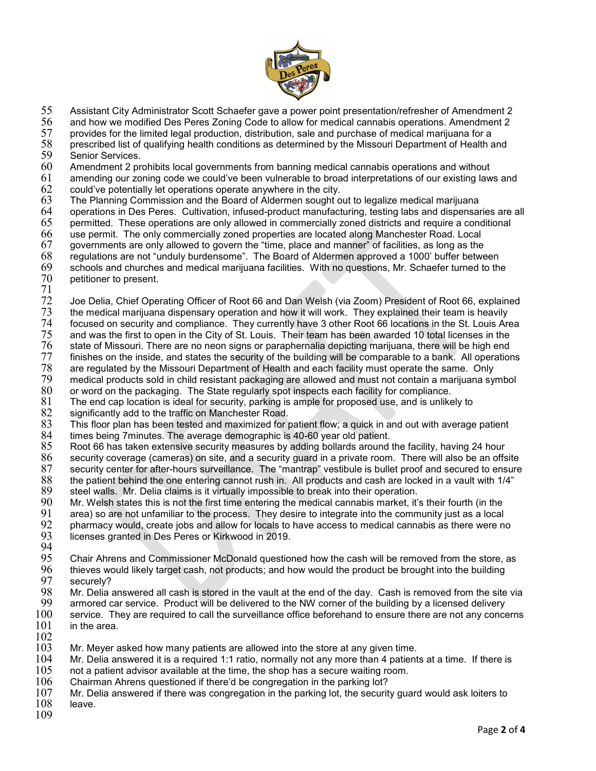

55 Assistant City Administrator Scott Schaefer gave a power point presentation/refresher of Amendment 2<br>56 and how we modified Des Peres Zoning Code to allow for medical cannabis operations. Amendment 2

56 and how we modified Des Peres Zoning Code to allow for medical cannabis operations. Amendment 2

57 provides for the limited legal production, distribution, sale and purchase of medical marijuana for a<br>58 prescribed list of qualifying health conditions as determined by the Missouri Department of Health a

58 prescribed list of qualifying health conditions as determined by the Missouri Department of Health and 59 Senior Services.<br>60 Amendment 2 pr

60 Amendment 2 prohibits local governments from banning medical cannabis operations and without

 $61$  amending our zoning code we could've been vulnerable to broad interpretations of our existing laws and  $62$  could've potentially let operations operate anywhere in the city.  $62$  could've potentially let operations operate anywhere in the city.<br> $63$  The Planning Commission and the Board of Aldermen sought o

- 63 The Planning Commission and the Board of Aldermen sought out to legalize medical marijuana
- 64 operations in Des Peres. Cultivation, infused-product manufacturing, testing labs and dispensaries are all
- $65$  permitted. These operations are only allowed in commercially zoned districts and require a conditional  $66$  use permit. The only commercially zoned properties are located along Manchester Road. Local
- 66 use permit. The only commercially zoned properties are located along Manchester Road. Local
- 67 governments are only allowed to govern the "time, place and manner" of facilities, as long as the
- 68 regulations are not "unduly burdensome". The Board of Aldermen approved a 1000' buffer between
- 69 schools and churches and medical marijuana facilities. With no questions, Mr. Schaefer turned to the petitioner to present.
- $^{71}_{72}$

72 Joe Delia, Chief Operating Officer of Root 66 and Dan Welsh (via Zoom) President of Root 66, explained<br>73 the medical marijuana dispensary operation and how it will work. They explained their team is heavily

- $73$  the medical marijuana dispensary operation and how it will work. They explained their team is heavily  $74$  focused on security and compliance. They currently have  $3$  other Root 66 locations in the St. Louis Are
- 74 focused on security and compliance. They currently have 3 other Root 66 locations in the St. Louis Area<br>75 and was the first to open in the City of St. Louis. Their team has been awarded 10 total licenses in the
- 75 and was the first to open in the City of St. Louis. Their team has been awarded 10 total licenses in the<br>76 state of Missouri. There are no neon signs or paraphernalia depicting marijuana, there will be high end  $76$  state of Missouri. There are no neon signs or paraphernalia depicting marijuana, there will be high end<br>T1 finishes on the inside, and states the security of the building will be comparable to a bank. All operation
- 77 finishes on the inside, and states the security of the building will be comparable to a bank. All operations
- 78 are regulated by the Missouri Department of Health and each facility must operate the same. Only
- 79 medical products sold in child resistant packaging are allowed and must not contain a marijuana symbol
- 80 or word on the packaging. The State regularly spot inspects each facility for compliance.
- 81 The end cap location is ideal for security, parking is ample for proposed use, and is unlikely to 82 significantly add to the traffic on Manchester Road.
- $82$  significantly add to the traffic on Manchester Road.<br> $83$  This floor plan has been tested and maximized for  $\overline{\phantom{a}}$
- 83 This floor plan has been tested and maximized for patient flow; a quick in and out with average patient 84 times being 7minutes. The average demographic is 40-60 year old patient.
- 
- $85$  Root 66 has taken extensive security measures by adding bollards around the facility, having 24 hour<br> $86$  security coverage (cameras) on site, and a security quard in a private room. There will also be an offs 86 security coverage (cameras) on site, and a security guard in a private room. There will also be an offsite
- 87 security center for after-hours surveillance. The "mantrap" vestibule is bullet proof and secured to ensure
- 88 the patient behind the one entering cannot rush in. All products and cash are locked in a vault with 1/4"<br>89 steel walls. Mr. Delia claims is it virtually impossible to break into their operation. 89 steel walls. Mr. Delia claims is it virtually impossible to break into their operation.<br>90 Mr. Welsh states this is not the first time entering the medical cannabis market. it's
- 90 Mr. Welsh states this is not the first time entering the medical cannabis market, it's their fourth (in the
- 
- 91 area) so are not unfamiliar to the process. They desire to integrate into the community just as a local 92 pharmacy would, create jobs and allow for locals to have access to medical cannabis as there were no
- licenses granted in Des Peres or Kirkwood in 2019.
- 94<br>95
- 95 Chair Ahrens and Commissioner McDonald questioned how the cash will be removed from the store, as<br>96 thieves would likely target cash, not products: and how would the product be brought into the building 96 thieves would likely target cash, not products; and how would the product be brought into the building<br>97 securely?
- 97 securely?<br>98 Mr. Delia a
- 98 Mr. Delia answered all cash is stored in the vault at the end of the day. Cash is removed from the site via<br>99 armored car service. Product will be delivered to the NW corner of the building by a licensed delivery
- armored car service. Product will be delivered to the NW corner of the building by a licensed delivery
- $100$  service. They are required to call the surveillance office beforehand to ensure there are not any concerns  $101$  in the area. in the area.
- 
- $\frac{102}{103}$ 103 Mr. Meyer asked how many patients are allowed into the store at any given time.<br>104 Mr. Delia answered it is a required 1:1 ratio, normally not any more than 4 patient
- 104 Mr. Delia answered it is a required 1:1 ratio, normally not any more than 4 patients at a time. If there is  $105$  not a patient advisor available at the time, the shop has a secure waiting room.
- $105$  not a patient advisor available at the time, the shop has a secure waiting room.<br> $106$  Chairman Ahrens questioned if there'd be congregation in the parking lot?
- $106$   $\,$  Chairman Ahrens questioned if there'd be congregation in the parking lot?<br> $107$   $\,$  Mr. Delia answered if there was congregation in the parking lot, the securit
- $107$  Mr. Delia answered if there was congregation in the parking lot, the security guard would ask loiters to  $108$  leave.
- leave.
- 109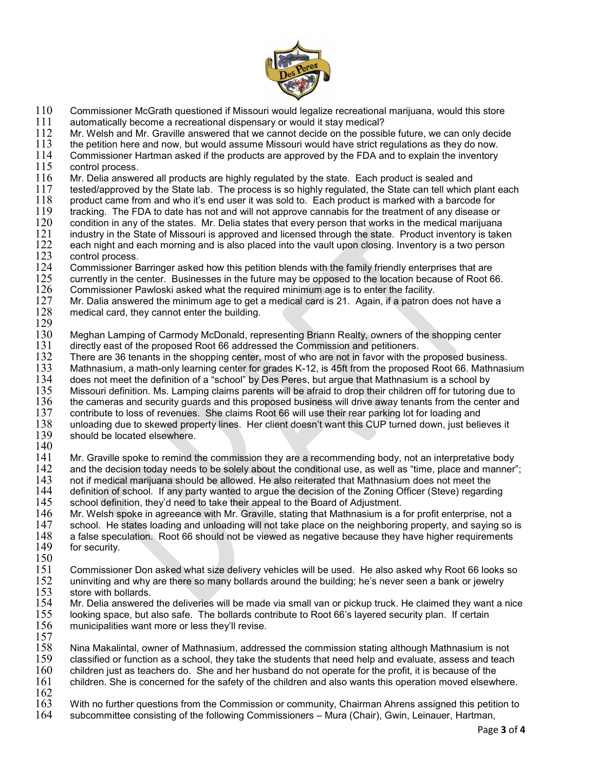

- $110$  Commissioner McGrath questioned if Missouri would legalize recreational marijuana, would this store  $111$  automatically become a recreational dispensary or would it stay medical?
- 111 automatically become a recreational dispensary or would it stay medical?<br>112 Mr. Welsh and Mr. Graville answered that we cannot decide on the possit
- 112 Mr. Welsh and Mr. Graville answered that we cannot decide on the possible future, we can only decide 113 the petition here and now, but would assume Missouri would have strict requiations as they do now.
- 113 the petition here and now, but would assume Missouri would have strict regulations as they do now.<br>114 Commissioner Hartman asked if the products are approved by the FDA and to explain the inventory

114 Commissioner Hartman asked if the products are approved by the FDA and to explain the inventory<br>115 control process.

- 115 control process.<br>116 Mr. Delia answei
- $116$  Mr. Delia answered all products are highly regulated by the state. Each product is sealed and  $117$  tested/approved by the State lab. The process is so highly regulated, the State can tell which i 117 tested/approved by the State lab. The process is so highly regulated, the State can tell which plant each<br>118 product came from and who it's end user it was sold to. Each product is marked with a barcode for
- 118 product came from and who it's end user it was sold to. Each product is marked with a barcode for<br>119 tracking. The FDA to date has not and will not approve cannabis for the treatment of any disease or
- $119$  tracking. The FDA to date has not and will not approve cannabis for the treatment of any disease or  $120$  condition in any of the states. Mr. Delia states that every person that works in the medical marijuana
- $120$  condition in any of the states. Mr. Delia states that every person that works in the medical marijuana<br> $121$  industry in the State of Missouri is approved and licensed through the state. Product inventory is take
- 121 industry in the State of Missouri is approved and licensed through the state. Product inventory is taken<br>122 each night and each morning and is also placed into the vault upon closing. Inventory is a two person
- 122 each night and each morning and is also placed into the vault upon closing. Inventory is a two person<br>123 control process.
- 123 control process.<br>124 Commissioner B
- 124 Commissioner Barringer asked how this petition blends with the family friendly enterprises that are 125 currently in the center. Businesses in the future may be opposed to the location because of Root 6 125 currently in the center. Businesses in the future may be opposed to the location because of Root 66.<br>126 Commissioner Pawloski asked what the required minimum age is to enter the facility.
- 126 Commissioner Pawloski asked what the required minimum age is to enter the facility.<br>127 Mr. Dalia answered the minimum age to get a medical card is 21. Again, if a patron d
- 127 Mr. Dalia answered the minimum age to get a medical card is 21. Again, if a patron does not have a 128 medical card, they cannot enter the building. medical card, they cannot enter the building.
- $\frac{129}{130}$
- 130 Meghan Lamping of Carmody McDonald, representing Briann Realty, owners of the shopping center 131 directly east of the proposed Root 66 addressed the Commission and petitioners.
- 131 directly east of the proposed Root 66 addressed the Commission and petitioners.<br>132 There are 36 tenants in the shopping center, most of who are not in favor with the
- 132 There are 36 tenants in the shopping center, most of who are not in favor with the proposed business.
- 133 Mathnasium, a math-only learning center for grades K-12, is 45ft from the proposed Root 66. Mathnasium<br>134 does not meet the definition of a "school" by Des Peres, but argue that Mathnasium is a school by
- 134 does not meet the definition of a "school" by Des Peres, but argue that Mathnasium is a school by<br>135 Missouri definition. Ms. Lamping claims parents will be afraid to drop their children off for tutoring d
- 135 Missouri definition. Ms. Lamping claims parents will be afraid to drop their children off for tutoring due to<br>136 the cameras and security quards and this proposed business will drive away tenants from the center and
- 136 the cameras and security guards and this proposed business will drive away tenants from the center and contribute to loss of revenues. She claims Root 66 will use their rear parking lot for loading and 137 contribute to loss of revenues. She claims Root 66 will use their rear parking lot for loading and
- 138 unloading due to skewed property lines. Her client doesn't want this CUP turned down, just believes it should be located elsewhere.
- $\frac{140}{141}$

141 Mr. Graville spoke to remind the commission they are a recommending body, not an interpretative body<br>142 and the decision today needs to be solely about the conditional use, as well as "time, place and manner"

- 142 and the decision today needs to be solely about the conditional use, as well as "time, place and manner";  $143$  not if medical marijuana should be allowed. He also reiterated that Mathnasium does not meet the
- 143 not if medical marijuana should be allowed. He also reiterated that Mathnasium does not meet the 144 definition of school. If any party wanted to argue the decision of the Zoning Officer (Steve) regarding 145 school definition, they'd need to take their appeal to the Board of Adjustment.
- 145 school definition, they'd need to take their appeal to the Board of Adjustment.<br>146 Mr. Welsh spoke in agreeance with Mr. Graville, stating that Mathnasium is a
- 146 Mr. Welsh spoke in agreeance with Mr. Graville, stating that Mathnasium is a for profit enterprise, not a<br>147 school. He states loading and unloading will not take place on the neighboring property, and saying so 147 school. He states loading and unloading will not take place on the neighboring property, and saying so is<br>148 a false speculation. Root 66 should not be viewed as negative because they have higher requirements 148 a false speculation. Root 66 should not be viewed as negative because they have higher requirements 149 for security.
- for security.
- $\frac{150}{151}$
- 151 Commissioner Don asked what size delivery vehicles will be used. He also asked why Root 66 looks so<br>152 uninviting and why are there so many bollards around the building; he's never seen a bank or jewelry  $152$  uninviting and why are there so many bollards around the building; he's never seen a bank or jewelry  $153$  store with bollards.
- 153 store with bollards.<br>154 Mr. Delia answered
- Mr. Delia answered the deliveries will be made via small van or pickup truck. He claimed they want a nice 155 looking space, but also safe. The bollards contribute to Root 66's layered security plan. If certain municipalities want more or less they'll revise.
- 

157<br>158 158 Nina Makalintal, owner of Mathnasium, addressed the commission stating although Mathnasium is not

- 159 classified or function as a school, they take the students that need help and evaluate, assess and teach  $160$  children just as teachers do. She and her husband do not operate for the profit, it is because of the
- 160 children just as teachers do. She and her husband do not operate for the profit, it is because of the  $161$  children. She is concerned for the safety of the children and also wants this operation moved elsewh children. She is concerned for the safety of the children and also wants this operation moved elsewhere.
- $\frac{162}{163}$

163 With no further questions from the Commission or community, Chairman Ahrens assigned this petition to

164 subcommittee consisting of the following Commissioners – Mura (Chair), Gwin, Leinauer, Hartman,